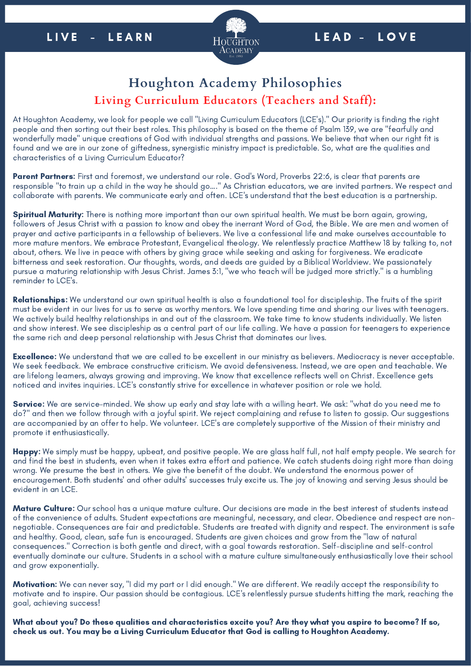

## **Houghton Academy Philosophies Living Curriculum Educators (Teachers and Staff):**

At Houghton Academy, we look for people we call "Living Curriculum Educators (LCE's)." Our priority is finding the right people and then sorting out their best roles. This philosophy is based on the theme of Psalm 139, we are "fearfully and wonderfully made" unique creations of God with individual strengths and passions. We believe that when our right fit is found and we are in our zone of giftedness, synergistic ministry impact is predictable. So, what are the qualities and characteristics of a Living Curriculum Educator?

Parent Partners: First and foremost, we understand our role. God's Word, Proverbs 22:6, is clear that parents are responsible "to train up a child in the way he should go…." As Christian educators, we are invited partners. We respect and collaborate with parents. We communicate early and often. LCE's understand that the best education is a partnership.

Spiritual Maturity: There is nothing more important than our own spiritual health. We must be born again, growing, followers of Jesus Christ with a passion to know and obey the inerrant Word of God, the Bible. We are men and women of prayer and active participants in a fellowship of believers. We live a confessional life and make ourselves accountable to more mature mentors. We embrace Protestant, Evangelical theology. We relentlessly practice Matthew 18 by talking to, not about, others. We live in peace with others by giving grace while seeking and asking for forgiveness. We eradicate bitterness and seek restoration. Our thoughts, words, and deeds are guided by a Biblical Worldview. We passionately pursue a maturing relationship with Jesus Christ. James 3:1, "we who teach will be judged more strictly." is a humbling reminder to LCE's.

Relationships: We understand our own spiritual health is also a foundational tool for discipleship. The fruits of the spirit must be evident in our lives for us to serve as worthy mentors. We love spending time and sharing our lives with teenagers. We actively build healthy relationships in and out of the classroom. We take time to know students individually. We listen and show interest. We see discipleship as a central part of our life calling. We have a passion for teenagers to experience the same rich and deep personal relationship with Jesus Christ that dominates our lives.

**Excellence:** We understand that we are called to be excellent in our ministry as believers. Mediocracy is never acceptable. We seek feedback. We embrace constructive criticism. We avoid defensiveness. Instead, we are open and teachable. We are lifelong learners, always growing and improving. We know that excellence reflects well on Christ. Excellence gets noticed and invites inquiries. LCE's constantly strive for excellence in whatever position or role we hold.

Service: We are service-minded. We show up early and stay late with a willing heart. We ask: "what do you need me to do?" and then we follow through with a joyful spirit. We reject complaining and refuse to listen to gossip. Our suggestions are accompanied by an offer to help. We volunteer. LCE's are completely supportive of the Mission of their ministry and promote it enthusiastically.

Happy: We simply must be happy, upbeat, and positive people. We are glass half full, not half empty people. We search for and find the best in students, even when it takes extra effort and patience. We catch students doing right more than doing wrong. We presume the best in others. We give the benefit of the doubt. We understand the enormous power of encouragement. Both students' and other adults' successes truly excite us. The joy of knowing and serving Jesus should be evident in an LCE.

Mature Culture: Our school has a unique mature culture. Our decisions are made in the best interest of students instead of the convenience of adults. Student expectations are meaningful, necessary, and clear. Obedience and respect are nonnegotiable. Consequences are fair and predictable. Students are treated with dignity and respect. The environment is safe and healthy. Good, clean, safe fun is encouraged. Students are given choices and grow from the "law of natural consequences." Correction is both gentle and direct, with a goal towards restoration. Self-discipline and self-control eventually dominate our culture. Students in a school with a mature culture simultaneously enthusiastically love their school and grow exponentially.

Motivation: We can never say, "I did my part or I did enough." We are different. We readily accept the responsibility to motivate and to inspire. Our passion should be contagious. LCE's relentlessly pursue students hitting the mark, reaching the goal, achieving success!

What about you? Do these qualities and characteristics excite you? Are they what you aspire to become? If so, check us out. You may be a Living Curriculum Educator that God is calling to Houghton Academy.